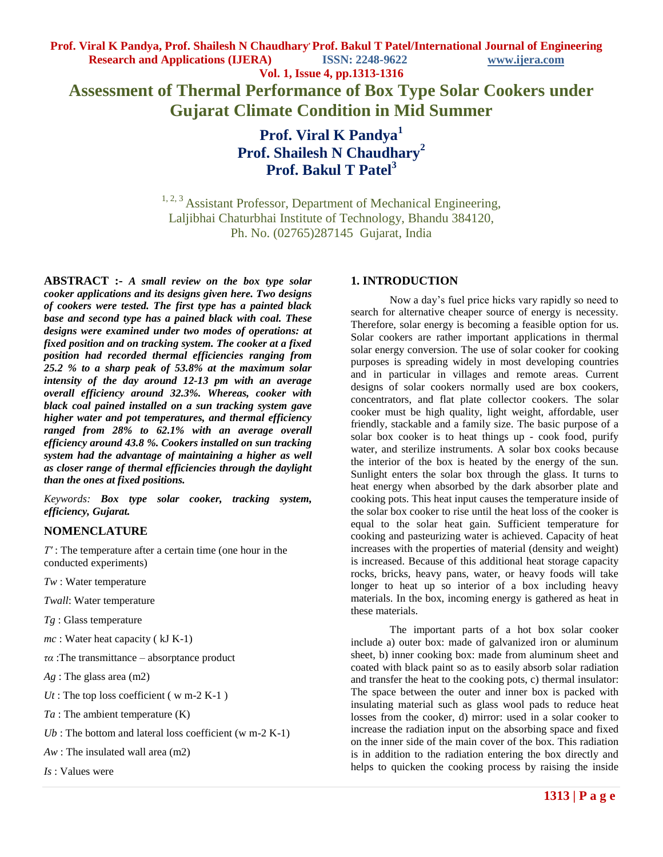**Assessment of Thermal Performance of Box Type Solar Cookers under Gujarat Climate Condition in Mid Summer**

> **Prof. Viral K Pandya<sup>1</sup> Prof. Shailesh N Chaudhary<sup>2</sup> Prof. Bakul T Patel<sup>3</sup>**

<sup>1, 2, 3</sup> Assistant Professor, Department of Mechanical Engineering, Laljibhai Chaturbhai Institute of Technology, Bhandu 384120, Ph. No. (02765)287145 Gujarat, India

**ABSTRACT :-** *A small review on the box type solar cooker applications and its designs given here. Two designs of cookers were tested. The first type has a painted black base and second type has a pained black with coal. These designs were examined under two modes of operations: at fixed position and on tracking system. The cooker at a fixed position had recorded thermal efficiencies ranging from 25.2 % to a sharp peak of 53.8% at the maximum solar intensity of the day around 12-13 pm with an average overall efficiency around 32.3%. Whereas, cooker with black coal pained installed on a sun tracking system gave higher water and pot temperatures, and thermal efficiency ranged from 28% to 62.1% with an average overall efficiency around 43.8 %. Cookers installed on sun tracking system had the advantage of maintaining a higher as well as closer range of thermal efficiencies through the daylight than the ones at fixed positions.*

*Keywords: Box type solar cooker, tracking system, efficiency, Gujarat.*

#### **NOMENCLATURE**

*T′* : The temperature after a certain time (one hour in the conducted experiments)

- *Tw* : Water temperature
- *Twall*: Water temperature
- *Tg* : Glass temperature
- *mc* : Water heat capacity ( kJ K-1)
- *τα* :The transmittance absorptance product
- *Ag* : The glass area (m2)
- $Ut$ : The top loss coefficient ( $w$  m-2 K-1)
- *Ta* : The ambient temperature (K)
- *Ub* : The bottom and lateral loss coefficient (w m-2 K-1)
- *Aw* : The insulated wall area (m2)
- *Is* : Values were

### **1. INTRODUCTION** \*

Now a day's fuel price hicks vary rapidly so need to search for alternative cheaper source of energy is necessity. Therefore, solar energy is becoming a feasible option for us. Solar cookers are rather important applications in thermal solar energy conversion. The use of solar cooker for cooking purposes is spreading widely in most developing countries and in particular in villages and remote areas. Current designs of solar cookers normally used are box cookers, concentrators, and flat plate collector cookers. The solar cooker must be high quality, light weight, affordable, user friendly, stackable and a family size. The basic purpose of a solar box cooker is to heat things up - cook food, purify water, and sterilize instruments. A solar box cooks because the interior of the box is heated by the energy of the sun. Sunlight enters the solar box through the glass. It turns to heat energy when absorbed by the dark absorber plate and cooking pots. This heat input causes the temperature inside of the solar box cooker to rise until the heat loss of the cooker is equal to the solar heat gain. Sufficient temperature for cooking and pasteurizing water is achieved. Capacity of heat increases with the properties of material (density and weight) is increased. Because of this additional heat storage capacity rocks, bricks, heavy pans, water, or heavy foods will take longer to heat up so interior of a box including heavy materials. In the box, incoming energy is gathered as heat in these materials.

The important parts of a hot box solar cooker include a) outer box: made of galvanized iron or aluminum sheet, b) inner cooking box: made from aluminum sheet and coated with black paint so as to easily absorb solar radiation and transfer the heat to the cooking pots, c) thermal insulator: The space between the outer and inner box is packed with insulating material such as glass wool pads to reduce heat losses from the cooker, d) mirror: used in a solar cooker to increase the radiation input on the absorbing space and fixed on the inner side of the main cover of the box. This radiation is in addition to the radiation entering the box directly and helps to quicken the cooking process by raising the inside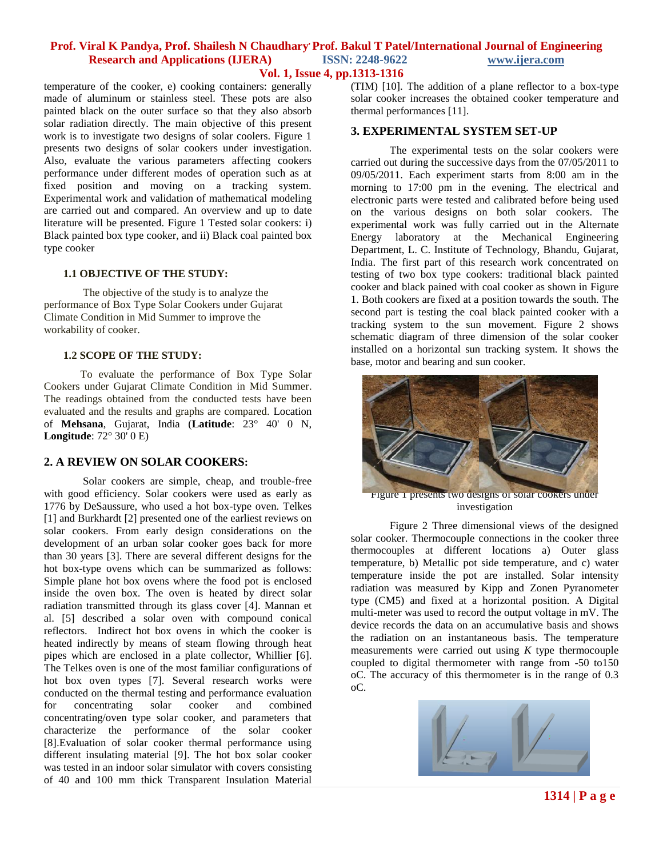## **Prof. Viral K Pandya, Prof. Shailesh N Chaudhary, Prof. Bakul T Patel/International Journal of Engineering Research and Applications (IJERA) ISSN: 2248-9622 www.ijera.com**

**Vol. 1, Issue 4, pp.1313-1316**

temperature of the cooker, e) cooking containers: generally made of aluminum or stainless steel. These pots are also painted black on the outer surface so that they also absorb solar radiation directly. The main objective of this present work is to investigate two designs of solar coolers. Figure 1 presents two designs of solar cookers under investigation. Also, evaluate the various parameters affecting cookers performance under different modes of operation such as at fixed position and moving on a tracking system. Experimental work and validation of mathematical modeling are carried out and compared. An overview and up to date literature will be presented. Figure 1 Tested solar cookers: i) Black painted box type cooker, and ii) Black coal painted box type cooker

### **1.1 OBJECTIVE OF THE STUDY:**

The objective of the study is to analyze the performance of Box Type Solar Cookers under Gujarat Climate Condition in Mid Summer to improve the workability of cooker.

#### **1.2 SCOPE OF THE STUDY:**

To evaluate the performance of Box Type Solar Cookers under Gujarat Climate Condition in Mid Summer. The readings obtained from the conducted tests have been evaluated and the results and graphs are compared. Location of **Mehsana**, Gujarat, India (**Latitude**: 23° 40' 0 N, **Longitude**: 72° 30' 0 E)

#### **2. A REVIEW ON SOLAR COOKERS:**

Solar cookers are simple, cheap, and trouble-free with good efficiency. Solar cookers were used as early as 1776 by DeSaussure, who used a hot box-type oven. Telkes [1] and Burkhardt [2] presented one of the earliest reviews on solar cookers. From early design considerations on the development of an urban solar cooker goes back for more than 30 years [3]. There are several different designs for the hot box-type ovens which can be summarized as follows: Simple plane hot box ovens where the food pot is enclosed inside the oven box. The oven is heated by direct solar radiation transmitted through its glass cover [4]. Mannan et al. [5] described a solar oven with compound conical reflectors. Indirect hot box ovens in which the cooker is heated indirectly by means of steam flowing through heat pipes which are enclosed in a plate collector, Whillier [6]. The Telkes oven is one of the most familiar configurations of hot box oven types [7]. Several research works were conducted on the thermal testing and performance evaluation for concentrating solar cooker and combined concentrating/oven type solar cooker, and parameters that characterize the performance of the solar cooker [8].Evaluation of solar cooker thermal performance using different insulating material [9]. The hot box solar cooker was tested in an indoor solar simulator with covers consisting of 40 and 100 mm thick Transparent Insulation Material

(TIM) [10]. The addition of a plane reflector to a box-type solar cooker increases the obtained cooker temperature and thermal performances [11].

### **3. EXPERIMENTAL SYSTEM SET-UP**

The experimental tests on the solar cookers were carried out during the successive days from the 07/05/2011 to 09/05/2011. Each experiment starts from 8:00 am in the morning to 17:00 pm in the evening. The electrical and electronic parts were tested and calibrated before being used on the various designs on both solar cookers. The experimental work was fully carried out in the Alternate Energy laboratory at the Mechanical Engineering Department, L. C. Institute of Technology, Bhandu, Gujarat, India. The first part of this research work concentrated on testing of two box type cookers: traditional black painted cooker and black pained with coal cooker as shown in Figure 1. Both cookers are fixed at a position towards the south. The second part is testing the coal black painted cooker with a tracking system to the sun movement. Figure 2 shows schematic diagram of three dimension of the solar cooker installed on a horizontal sun tracking system. It shows the base, motor and bearing and sun cooker.



Figure 1 presents two designs of solar cookers under investigation

Figure 2 Three dimensional views of the designed solar cooker. Thermocouple connections in the cooker three thermocouples at different locations a) Outer glass temperature, b) Metallic pot side temperature, and c) water temperature inside the pot are installed. Solar intensity radiation was measured by Kipp and Zonen Pyranometer type (CM5) and fixed at a horizontal position. A Digital multi-meter was used to record the output voltage in mV. The device records the data on an accumulative basis and shows the radiation on an instantaneous basis. The temperature measurements were carried out using *K* type thermocouple coupled to digital thermometer with range from -50 to150 oC. The accuracy of this thermometer is in the range of 0.3 oC.

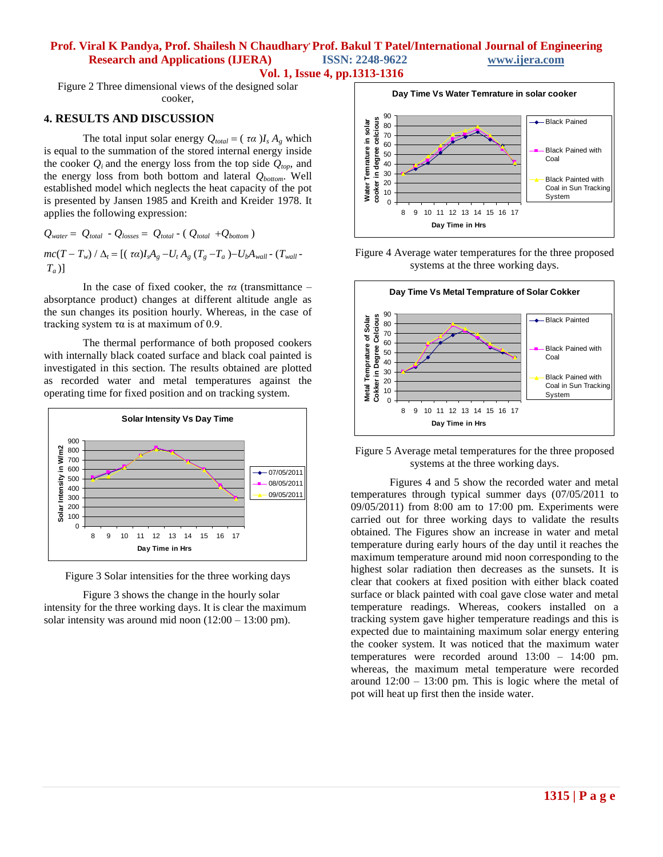# **Prof. Viral K Pandya, Prof. Shailesh N Chaudhary, Prof. Bakul T Patel/International Journal of Engineering Research and Applications (IJERA) ISSN: 2248-9622 www.ijera.com**

**Vol. 1, Issue 4, pp.1313-1316**

Figure 2 Three dimensional views of the designed solar cooker,

### **4. RESULTS AND DISCUSSION**

The total input solar energy  $Q_{total} = (\tau \alpha)I_s A_g$  which is equal to the summation of the stored internal energy inside the cooker  $Q_i$  and the energy loss from the top side  $Q_{top}$ , and the energy loss from both bottom and lateral *Qbottom*. Well established model which neglects the heat capacity of the pot is presented by Jansen 1985 and Kreith and Kreider 1978. It applies the following expression:

$$
Q_{water} = Q_{total} - Q_{losses} = Q_{total} - (Q_{total} + Q_{bottom})
$$
  

$$
mc(T - T_w) / \Delta_t = [(\tau \alpha)I_s A_g - U_t A_g (T_g - T_a) - U_b A_{wall} - (T_{wall} - T_a)]
$$

In the case of fixed cooker, the *τα* (transmittance – absorptance product) changes at different altitude angle as the sun changes its position hourly. Whereas, in the case of tracking system τα is at maximum of 0.9.

The thermal performance of both proposed cookers with internally black coated surface and black coal painted is investigated in this section. The results obtained are plotted as recorded water and metal temperatures against the operating time for fixed position and on tracking system.



Figure 3 Solar intensities for the three working days

Figure 3 shows the change in the hourly solar intensity for the three working days. It is clear the maximum solar intensity was around mid noon  $(12:00 - 13:00 \text{ pm})$ .



Figure 4 Average water temperatures for the three proposed systems at the three working days.



Figure 5 Average metal temperatures for the three proposed systems at the three working days.

Figures 4 and 5 show the recorded water and metal temperatures through typical summer days (07/05/2011 to 09/05/2011) from 8:00 am to 17:00 pm. Experiments were carried out for three working days to validate the results obtained. The Figures show an increase in water and metal temperature during early hours of the day until it reaches the maximum temperature around mid noon corresponding to the highest solar radiation then decreases as the sunsets. It is clear that cookers at fixed position with either black coated surface or black painted with coal gave close water and metal temperature readings. Whereas, cookers installed on a tracking system gave higher temperature readings and this is expected due to maintaining maximum solar energy entering the cooker system. It was noticed that the maximum water temperatures were recorded around 13:00 – 14:00 pm. whereas, the maximum metal temperature were recorded around  $12:00 - 13:00$  pm. This is logic where the metal of pot will heat up first then the inside water.